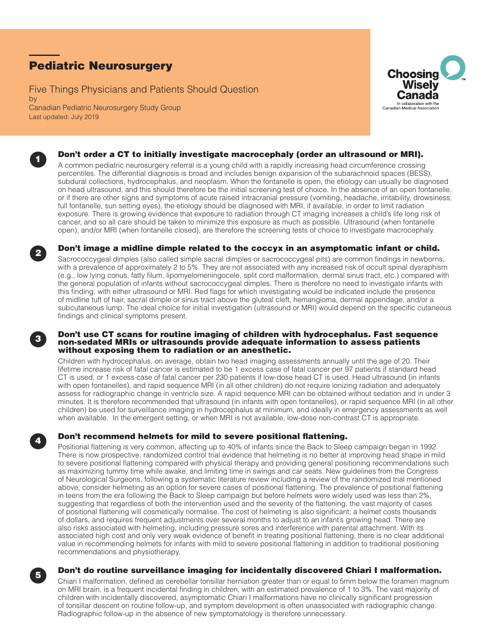# Pediatric Neurosurgery

Five Things Physicians and Patients Should Question by Canadian Pediatric Neurosurgery Study Group Last updated: July 2019





## Don't order a CT to initially investigate macrocephaly (order an ultrasound or MRI).

A common pediatric neurosurgery referral is a young child with a rapidly increasing head circumference crossing percentiles. The differential diagnosis is broad and includes benign expansion of the subarachnoid spaces (BESS), subdural collections, hydrocephalus, and neoplasm. When the fontanelle is open, the etiology can usually be diagnosed on head ultrasound, and this should therefore be the initial screening test of choice. In the absence of an open fontanelle, or if there are other signs and symptoms of acute raised intracranial pressure (vomiting, headache, irritability, drowsiness, full fontanelle, sun setting eyes), the etiology should be diagnosed with MRI, if available, in order to limit radiation exposure. There is growing evidence that exposure to radiation through CT imaging increases a child's life long risk of cancer, and so all care should be taken to minimize this exposure as much as possible. Ultrasound (when fontanelle open), and/or MRI (when fontanelle closed), are therefore the screening tests of choice to investigate macrocephaly.



## <sup>2</sup> Don't image a midline dimple related to the coccyx in an asymptomatic infant or child.

Sacrococcygeal dimples (also called simple sacral dimples or sacrococcygeal pits) are common findings in newborns, with a prevalence of approximately 2 to 5%. They are not associated with any increased risk of occult spinal dysraphism (e.g., low lying conus, fatty filum, lipomyelomeningocele, split cord malformation, dermal sinus tract, etc.) compared with the general population of infants without sacrococcygeal dimples. There is therefore no need to investigate infants with this finding, with either ultrasound or MRI. Red flags for which investigating would be indicated include the presence of midline tuft of hair, sacral dimple or sinus tract above the gluteal cleft, hemangioma, dermal appendage, and/or a subcutaneous lump. The ideal choice for initial investigation (ultrasound or MRI) would depend on the specific cutaneous findings and clinical symptoms present.

## Don't use CT scans for routine imaging of children with hydrocephalus. Fast sequence non-sedated MRIs or ultrasounds provide adequate information to assess patients without exposing them to radiation or an anesthetic.

Children with hydrocephalus, on average, obtain two head imaging assessments annually until the age of 20. Their lifetime increase risk of fatal cancer is estimated to be 1 excess case of fatal cancer per 97 patients if standard head CT is used, or 1 excess case of fatal cancer per 230 patients if low-dose head CT is used. Head ultrasound (in infants with open fontanelles), and rapid sequence MRI (in all other children) do not require ionizing radiation and adequately assess for radiographic change in ventricle size. A rapid sequence MRI can be obtained without sedation and in under 3 minutes. It is therefore recommended that ultrasound (in infants with open fontanelles), or rapid sequence MRI (in all other children) be used for surveillance imaging in hydrocephalus at minimum, and ideally in emergency assessments as well when available. In the emergent setting, or when MRI is not available, low-dose non-contrast CT is appropriate.

# Don't recommend helmets for mild to severe positional flattening.

Positional flattening is very common, affecting up to 40% of infants since the Back to Sleep campaign began in 1992. There is now prospective, randomized control trial evidence that helmeting is no better at improving head shape in mild to severe positional flattening compared with physical therapy and providing general positioning recommendations such as maximizing tummy time while awake, and limiting time in swings and car seats. New guidelines from the Congress of Neurological Surgeons, following a systematic literature review including a review of the randomized trial mentioned above, consider helmeting as an option for severe cases of positional flattening. The prevalence of positional flattening in teens from the era following the Back to Sleep campaign but before helmets were widely used was less than 2%, suggesting that regardless of both the intervention used and the severity of the flattening, the vast majority of cases of positional flattening will cosmetically normalise. The cost of helmeting is also significant; a helmet costs thousands of dollars, and requires frequent adjustments over several months to adjust to an infant's growing head. There are also risks associated with helmeting, including pressure sores and interference with parental attachment. With its associated high cost and only very weak evidence of benefit in treating positional flattening, there is no clear additional value in recommending helmets for infants with mild to severe positional flattening in addition to traditional positioning recommendations and physiotherapy.



## <sup>5</sup> Don't do routine surveillance imaging for incidentally discovered Chiari I malformation.

Chiari I malformation, defined as cerebellar tonsillar herniation greater than or equal to 5mm below the foramen magnum on MRI brain, is a frequent incidental finding in children, with an estimated prevalence of 1 to 3%. The vast majority of children with incidentally discovered, asymptomatic Chiari I malformations have no clinically significant progression of tonsillar descent on routine follow-up, and symptom development is often unassociated with radiographic change. Radiographic follow-up in the absence of new symptomatology is therefore unnecessary.